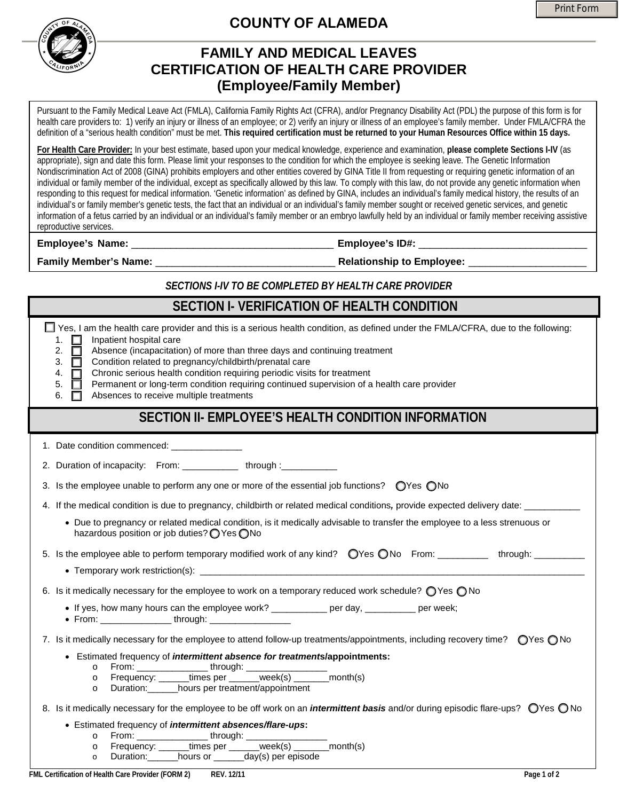



## **COUNTY OF ALAMEDA**

## **FAMILY AND MEDICAL LEAVES CERTIFICATION OF HEALTH CARE PROVIDER (Employee/Family Member)**

Pursuant to the Family Medical Leave Act (FMLA), California Family Rights Act (CFRA), and/or Pregnancy Disability Act (PDL) the purpose of this form is for health care providers to: 1) verify an injury or illness of an employee; or 2) verify an injury or illness of an employee's family member. Under FMLA/CFRA the definition of a "serious health condition" must be met. **This required certification must be returned to your Human Resources Office within 15 days.** 

**For Health Care Provider:** In your best estimate, based upon your medical knowledge, experience and examination, **please complete Sections I-IV** (as appropriate), sign and date this form. Please limit your responses to the condition for which the employee is seeking leave. The Genetic Information Nondiscrimination Act of 2008 (GINA) prohibits employers and other entities covered by GINA Title II from requesting or requiring genetic information of an individual or family member of the individual, except as specifically allowed by this law. To comply with this law, do not provide any genetic information when responding to this request for medical information. 'Genetic information' as defined by GINA, includes an individual's family medical history, the results of an individual's or family member's genetic tests, the fact that an individual or an individual's family member sought or received genetic services, and genetic information of a fetus carried by an individual or an individual's family member or an embryo lawfully held by an individual or family member receiving assistive reproductive services.

**Employee's Name:** \_\_\_\_\_\_\_\_\_\_\_\_\_\_\_\_\_\_\_\_\_\_\_\_\_\_\_\_\_\_\_\_\_\_\_\_ **Employee's ID#:** \_\_\_\_\_\_\_\_\_\_\_\_\_\_\_\_\_\_\_\_\_\_\_\_\_\_\_\_\_\_

**Family Member's Name:** \_\_\_\_\_\_\_\_\_\_\_\_\_\_\_\_\_\_\_\_\_\_\_\_\_\_\_\_\_\_\_\_ **Relationship to Employee:** \_\_\_\_\_\_\_\_\_\_\_\_\_\_\_\_\_\_\_\_\_

## *SECTIONS I-IV TO BE COMPLETED BY HEALTH CARE PROVIDER*

| SECTION I- VERIFICATION OF HEALTH CONDITION                                                                                                                                                                                                                                                                                                                                                                                                                                                                                                                                                            |
|--------------------------------------------------------------------------------------------------------------------------------------------------------------------------------------------------------------------------------------------------------------------------------------------------------------------------------------------------------------------------------------------------------------------------------------------------------------------------------------------------------------------------------------------------------------------------------------------------------|
| □ Yes, I am the health care provider and this is a serious health condition, as defined under the FMLA/CFRA, due to the following:<br>1. $\square$<br>Inpatient hospital care<br>$\Box$<br>2.<br>Absence (incapacitation) of more than three days and continuing treatment<br>Condition related to pregnancy/childbirth/prenatal care<br>□<br>3.<br>Chronic serious health condition requiring periodic visits for treatment<br>4.<br>□<br>Permanent or long-term condition requiring continued supervision of a health care provider<br>5.<br>□<br>Absences to receive multiple treatments<br>6.<br>П |
| SECTION II- EMPLOYEE'S HEALTH CONDITION INFORMATION                                                                                                                                                                                                                                                                                                                                                                                                                                                                                                                                                    |
| 1. Date condition commenced: ________________                                                                                                                                                                                                                                                                                                                                                                                                                                                                                                                                                          |
| 2. Duration of incapacity: From: ____________ through :___________                                                                                                                                                                                                                                                                                                                                                                                                                                                                                                                                     |
| 3. Is the employee unable to perform any one or more of the essential job functions? $\bigcirc$ Yes $\bigcirc$ No                                                                                                                                                                                                                                                                                                                                                                                                                                                                                      |
| 4. If the medical condition is due to pregnancy, childbirth or related medical conditions, provide expected delivery date:<br>• Due to pregnancy or related medical condition, is it medically advisable to transfer the employee to a less strenuous or<br>hazardous position or job duties? ● Yes ● No                                                                                                                                                                                                                                                                                               |
| 5. Is the employee able to perform temporary modified work of any kind? OYes ONo From: _________ through: ________                                                                                                                                                                                                                                                                                                                                                                                                                                                                                     |
| 6. Is it medically necessary for the employee to work on a temporary reduced work schedule? $\bigcirc$ Yes $\bigcirc$ No<br>• If yes, how many hours can the employee work? __________ per day, ________ per week;                                                                                                                                                                                                                                                                                                                                                                                     |
| 7. Is it medically necessary for the employee to attend follow-up treatments/appointments, including recovery time? $\bigcirc$ Yes $\bigcirc$ No<br>• Estimated frequency of intermittent absence for treatments/appointments:<br>From: ___________times per _____week(s) ______month(s)<br>$\circ$<br>$\circ$<br>Duration: _______hours per treatment/appointment<br>$\circ$<br>8. Is it medically necessary for the employee to be off work on an <i>intermittent basis</i> and/or during episodic flare-ups? OYes ONo<br>• Estimated frequency of intermittent absences/flare-ups:                  |
| $\circ$<br>$\circ$<br>Duration: hours or _______day(s) per episode<br>$\circ$                                                                                                                                                                                                                                                                                                                                                                                                                                                                                                                          |